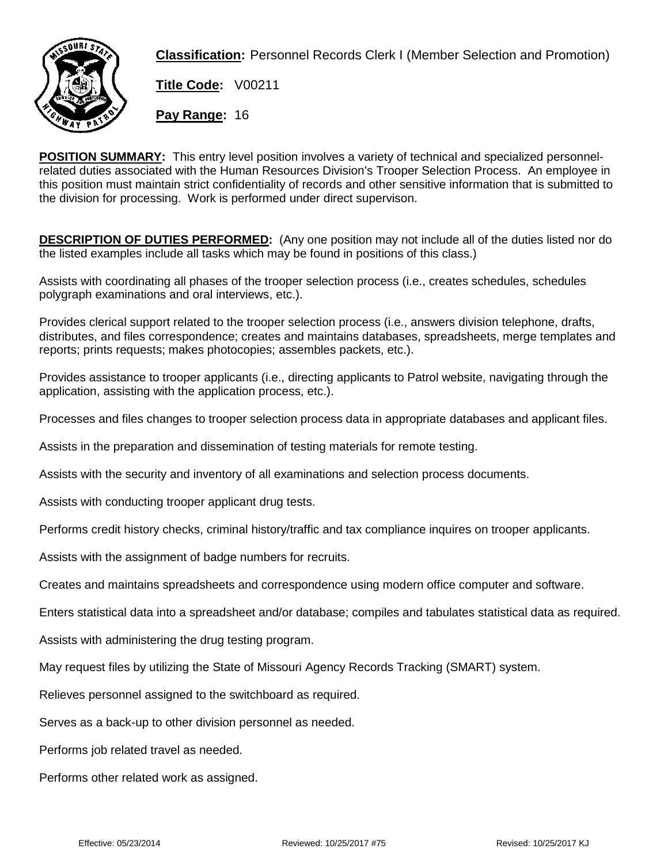

**Classification:** Personnel Records Clerk I (Member Selection and Promotion)

**Title Code:** V00211

**Pay Range:** 16

**POSITION SUMMARY:** This entry level position involves a variety of technical and specialized personnelrelated duties associated with the Human Resources Division's Trooper Selection Process. An employee in this position must maintain strict confidentiality of records and other sensitive information that is submitted to the division for processing. Work is performed under direct supervison.

**DESCRIPTION OF DUTIES PERFORMED:** (Any one position may not include all of the duties listed nor do the listed examples include all tasks which may be found in positions of this class.)

Assists with coordinating all phases of the trooper selection process (i.e., creates schedules, schedules polygraph examinations and oral interviews, etc.).

Provides clerical support related to the trooper selection process (i.e., answers division telephone, drafts, distributes, and files correspondence; creates and maintains databases, spreadsheets, merge templates and reports; prints requests; makes photocopies; assembles packets, etc.).

Provides assistance to trooper applicants (i.e., directing applicants to Patrol website, navigating through the application, assisting with the application process, etc.).

Processes and files changes to trooper selection process data in appropriate databases and applicant files.

Assists in the preparation and dissemination of testing materials for remote testing.

Assists with the security and inventory of all examinations and selection process documents.

Assists with conducting trooper applicant drug tests.

Performs credit history checks, criminal history/traffic and tax compliance inquires on trooper applicants.

Assists with the assignment of badge numbers for recruits.

Creates and maintains spreadsheets and correspondence using modern office computer and software.

Enters statistical data into a spreadsheet and/or database; compiles and tabulates statistical data as required.

Assists with administering the drug testing program.

May request files by utilizing the State of Missouri Agency Records Tracking (SMART) system.

Relieves personnel assigned to the switchboard as required.

Serves as a back-up to other division personnel as needed.

Performs job related travel as needed.

Performs other related work as assigned.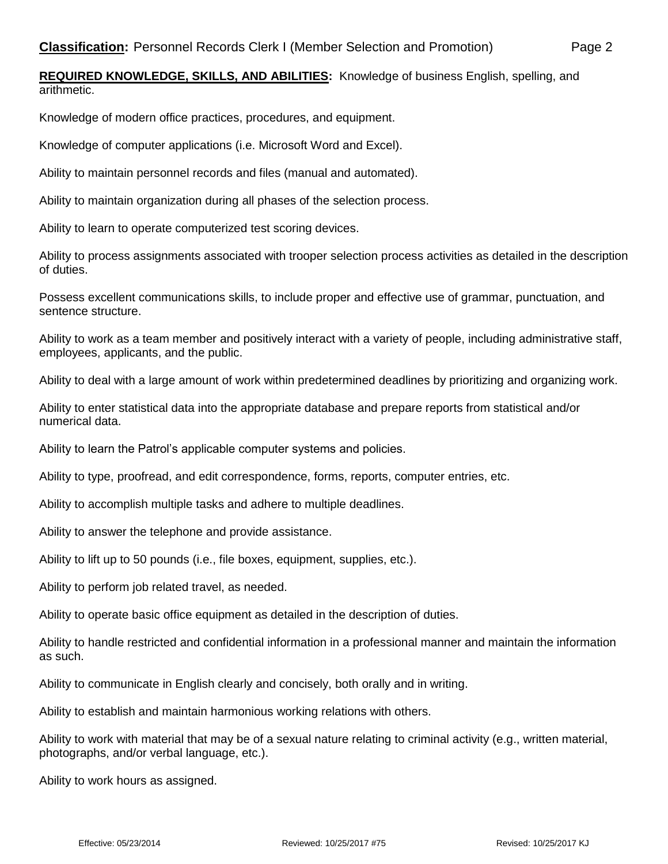**REQUIRED KNOWLEDGE, SKILLS, AND ABILITIES:** Knowledge of business English, spelling, and arithmetic.

Knowledge of modern office practices, procedures, and equipment.

Knowledge of computer applications (i.e. Microsoft Word and Excel).

Ability to maintain personnel records and files (manual and automated).

Ability to maintain organization during all phases of the selection process.

Ability to learn to operate computerized test scoring devices.

Ability to process assignments associated with trooper selection process activities as detailed in the description of duties.

Possess excellent communications skills, to include proper and effective use of grammar, punctuation, and sentence structure.

Ability to work as a team member and positively interact with a variety of people, including administrative staff, employees, applicants, and the public.

Ability to deal with a large amount of work within predetermined deadlines by prioritizing and organizing work.

Ability to enter statistical data into the appropriate database and prepare reports from statistical and/or numerical data.

Ability to learn the Patrol's applicable computer systems and policies.

Ability to type, proofread, and edit correspondence, forms, reports, computer entries, etc.

Ability to accomplish multiple tasks and adhere to multiple deadlines.

Ability to answer the telephone and provide assistance.

Ability to lift up to 50 pounds (i.e., file boxes, equipment, supplies, etc.).

Ability to perform job related travel, as needed.

Ability to operate basic office equipment as detailed in the description of duties.

Ability to handle restricted and confidential information in a professional manner and maintain the information as such.

Ability to communicate in English clearly and concisely, both orally and in writing.

Ability to establish and maintain harmonious working relations with others.

Ability to work with material that may be of a sexual nature relating to criminal activity (e.g., written material, photographs, and/or verbal language, etc.).

Ability to work hours as assigned.